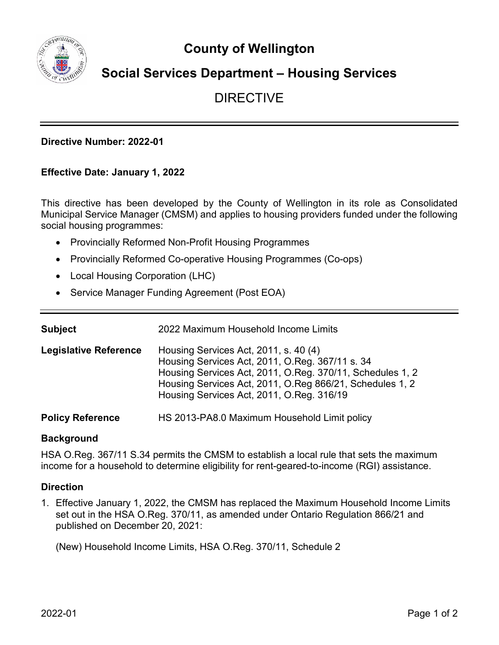**County of Wellington**



# **Social Services Department – Housing Services**

# DIRECTIVE

### **Directive Number: 2022-01**

### **Effective Date: January 1, 2022**

This directive has been developed by the County of Wellington in its role as Consolidated Municipal Service Manager (CMSM) and applies to housing providers funded under the following social housing programmes:

- Provincially Reformed Non-Profit Housing Programmes
- Provincially Reformed Co-operative Housing Programmes (Co-ops)
- Local Housing Corporation (LHC)
- Service Manager Funding Agreement (Post EOA)

| Subject                      | 2022 Maximum Household Income Limits                                                                                                                                                                                                                           |  |  |  |
|------------------------------|----------------------------------------------------------------------------------------------------------------------------------------------------------------------------------------------------------------------------------------------------------------|--|--|--|
| <b>Legislative Reference</b> | Housing Services Act, 2011, s. 40 (4)<br>Housing Services Act, 2011, O.Reg. 367/11 s. 34<br>Housing Services Act, 2011, O.Reg. 370/11, Schedules 1, 2<br>Housing Services Act, 2011, O.Reg 866/21, Schedules 1, 2<br>Housing Services Act, 2011, O.Reg. 316/19 |  |  |  |
| <b>Policy Reference</b>      | HS 2013-PA8.0 Maximum Household Limit policy                                                                                                                                                                                                                   |  |  |  |

#### **Background**

HSA O.Reg. 367/11 S.34 permits the CMSM to establish a local rule that sets the maximum income for a household to determine eligibility for rent-geared-to-income (RGI) assistance.

#### **Direction**

1. Effective January 1, 2022, the CMSM has replaced the Maximum Household Income Limits set out in the HSA O.Reg. 370/11, as amended under Ontario Regulation 866/21 and published on December 20, 2021:

(New) Household Income Limits, HSA O.Reg. 370/11, Schedule 2